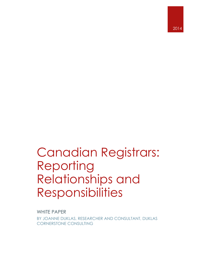

# Canadian Registrars: Reporting Relationships and **Responsibilities**

WHITE PAPER

BY JOANNE DUKLAS, RESEARCHER AND CONSULTANT, DUKLAS CORNERSTONE CONSULTING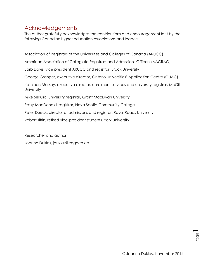## <span id="page-1-0"></span>Acknowledgements

The author gratefully acknowledges the contributions and encouragement lent by the following Canadian higher education associations and leaders:

Association of Registrars of the Universities and Colleges of Canada (ARUCC) American Association of Collegiate Registrars and Admissions Officers (AACRAO) Barb Davis, vice president ARUCC and registrar, Brock University George Granger, executive director, Ontario Universities' Application Centre (OUAC) Kathleen Massey, executive director, enrolment services and university registrar, McGill **University** Mike Sekulic, university registrar, Grant MacEwan University Patsy MacDonald, registrar, Nova Scotia Community College Peter Dueck, director of admissions and registrar, Royal Roads University Robert Tiffin, retired vice-president students, York University

Researcher and author:

Joanne Duklas, jduklas@cogeco.ca

Page1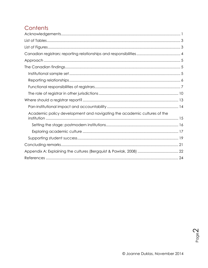# Contents

| Academic policy development and navigating the academic cultures of the |
|-------------------------------------------------------------------------|
|                                                                         |
|                                                                         |
|                                                                         |
|                                                                         |
|                                                                         |
|                                                                         |
|                                                                         |

Page2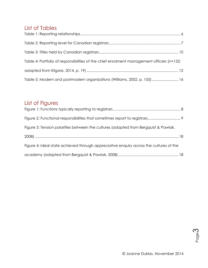# <span id="page-3-0"></span>List of Tables

| Table 4: Portfolio of responsibilities of the chief enrolment management officers (n=152; |  |
|-------------------------------------------------------------------------------------------|--|
|                                                                                           |  |
| Table 5: Modern and postmodern organizations (Williams, 2002, p. 105)  16                 |  |

## <span id="page-3-1"></span>List of Figures

| Figure 3: Tension polarities between the cultures (adapted from Bergquist & Pawlak,    |  |
|----------------------------------------------------------------------------------------|--|
|                                                                                        |  |
| Figure 4: Ideal state achieved through appreciative enquiry across the cultures of the |  |
|                                                                                        |  |

Page ო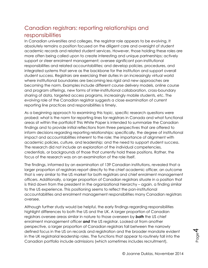# <span id="page-4-0"></span>Canadian registrars: reporting relationships and responsibilities

In Canadian universities and colleges, the registrar role appears to be evolving. It absolutely remains a position focused on the diligent care and oversight of student academic records and related student services. However, those holding these roles are more often being called upon to create interesting and unique partnerships; actively support or steer enrolment management; oversee significant pan-institutional responsibilities and related accountabilities; and develop policies, procedures, and integrated systems that serve as the backbone for the institution and support overall student success. Registrars are exercising their duties in an increasingly virtual world where institutional boundaries are becoming less rigid and new approaches are becoming the norm. Examples include different course delivery models, online course and program offerings, new forms of inter-institutional collaboration, cross-boundary sharing of data, targeted access programs, increasingly mobile students, etc. The evolving role of the Canadian registrar suggests a close examination of current reporting line practices and responsibilities is timely.

As a beginning approach to examining this topic, specific research questions were probed: what is the norm for reporting lines for registrars in Canada and what functional areas sit within the portfolio? This White Paper is intended to summarize the Canadian findings and to provide initial reflections from three perspectives that are offered to inform decisions regarding reporting relationships: specifically, the degree of institutional impact and accountabilities inherent to the role; the importance of alignment with academic policies, culture, and leadership; and the need to support student success. The research did not include an exploration of the individual competencies, credentials, or backgrounds of those that currently hold these positions. Rather, the focus of the research was on an examination of the role itself.

The findings, informed by an examination of 139 Canadian institutions, revealed that a larger proportion of registrars report directly to the chief academic officer, an outcome that is very similar to the US market for both registrars and chief enrolment management officers. Additionally, a larger proportion of Canadian registrars situate in a position that is third down from the president in the organizational hierarchy – again, a finding similar to the US experience. This positioning seems to reflect the pan-institutional accountabilities and enrolment management responsibilities many Canadian registrars oversee.

Although further study would be helpful, the early findings regarding responsibilities highlight differences to both the US and the UK. A larger proportion of Canadian registrars oversee areas similar in nature to those overseen by *both* the US chief enrolment management officer *and* the US registrar. Looked at from another perspective, a larger proportion of Canadian registrars fall between the narrowly defined focus in the US on records and registration and the broader mandate evident in the UK registrarial leadership roles. The functions that appear to routinely fall into the Canadian portfolio include admissions (which sometimes includes recruitment),

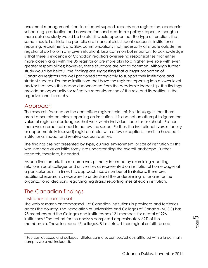enrolment management, frontline student support, records and registration, academic scheduling, graduation and convocation, and academic policy support. Although a more detailed study would be helpful, it would appear that the type of functions that sometimes fall outside the portfolio are financial aid, student accounts, institutional reporting, recruitment, and SEM communications (not necessarily all situate outside the registrarial portfolio in any given situation). Less common but important to acknowledge is that there is evidence of Canadian registrars overseeing responsibilities that either more closely align with the US registrar or are more akin to a higher level role with even greater responsibilities; however, these situations are not as common. Although further study would be helpful, the findings are suggesting that a larger proportion of Canadian registrars are well positioned strategically to support their institutions and student success. For those institutions that have the registrar reporting into a lower level, and/or that have the person disconnected from the academic leadership, the findings provide an opportunity for reflective reconsideration of the role and its position in the organizational hierarchy.

## <span id="page-5-0"></span>Approach

The research focused on the centralized registrar role; this isn't to suggest that there aren't other related roles supporting an institution. It is also not an attempt to ignore the value of registrarial colleagues that work within individual faculties or schools. Rather, there was a practical need to narrow the scope. Further, the institutional (versus faculty or departmentally focused) registrarial role, with a few exceptions, tends to have paninstitutional impact and related accountabilities.

The findings are not presented by type, cultural environment, or size of institution as this was intended as an initial foray into understanding the overall landscape. Further research, therefore, is needed.

As one final remark, the research was primarily informed by examining reporting relationships at colleges and universities as represented on institutional home pages at a particular point in time. This approach has a number of limitations; therefore, additional research is necessary to understand the underpinning rationales for the organizational decisions regarding registrarial reporting lines at each institution.

## <span id="page-5-1"></span>The Canadian findings

#### <span id="page-5-2"></span>Institutional sample set

The web research encompassed 139 Canadian institutions in provinces and territories across the country. The Association of Universities and Colleges of Canada (AUCC) has 95 members and the Colleges and Institutes has 131 members for a total of 226 institutions.<sup>1</sup> The cohort for this analysis comprised approximately 62% of this membership. These included 45 colleges, 8 institutes, 4 theological or faith-based

<sup>1</sup> Sources: aucc.ca and collegesinstitutes.ca (note: campus/schools affiliated with a larger main campus were not included).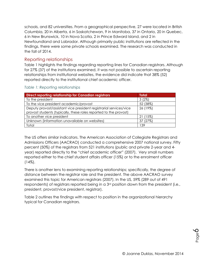schools, and 82 universities. From a geographical perspective, 27 were located in British Columbia, 20 in Alberta, 6 in Saskatchewan, 9 in Manitoba, 37 in Ontario, 20 in Quebec, 6 in New Brunswick, 10 in Nova Scotia, 2 in Prince Edward Island, and 2 in Newfoundland and Labrador. Although primarily public institutions are reflected in the findings, there were some private schools examined. The research was conducted in the fall of 2014.

#### <span id="page-6-0"></span>Reporting relationships

Table 1 highlights the findings regarding reporting lines for Canadian registrars. Although for 27% (37) of the institutions examined, it was not possible to ascertain reporting relationships from institutional websites, the evidence did indicate that 38% (52) reported directly to the institutional chief academic officer.

| Direct reporting relationship for Canadian registrars              | Total    |
|--------------------------------------------------------------------|----------|
| To the president                                                   | $3(2\%)$ |
| To the vice president academic/provost                             | 52 (38%) |
| Deputy provost/assistant vice president registrarial services/vice | 26 (19%) |
| provost students (typically, these roles reported to the provost)  |          |
| To another vice president                                          | 21 (15%) |
| Unknown (information unavailable on websites)                      | 37 (27%) |
| Total                                                              | 139      |

#### <span id="page-6-1"></span>*Table 1: Reporting relationships*

The US offers similar indicators. The American Association of Collegiate Registrars and Admissions Officers (AACRAO) conducted a comprehensive 2007 national survey. Fifty percent (50%) of the registrars from 521 institutions (public and private 2-year and 4 year) reported directly to the "chief academic officer" (2007). Very small numbers reported either to the chief student affairs officer (15%) or to the enrolment officer  $(14\%)$ .

There is another lens to examining reporting relationships; specifically, the degree of distance between the registrar role and the president. The above AACRAO survey examined this topic for American registrars (2007). In the US, 59% (289 out of 491 respondents) of registrars reported being in a 3<sup>rd</sup> position down from the president (i.e., president, provost/vice president, registrar).

Table 2 outlines the findings with respect to position in the organizational hierarchy typical for Canadian registrars.

Page  $\bm{\mathcal{\circ}}$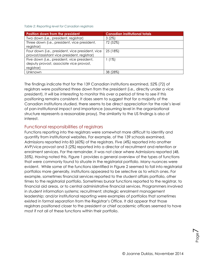#### <span id="page-7-1"></span>*Table 2: Reporting level for Canadian registrars*

| Position down from the president                                                                     | <b>Canadian institutional totals</b> |
|------------------------------------------------------------------------------------------------------|--------------------------------------|
| Two down (i.e., president, registrar)                                                                | $3(2\%)$                             |
| Three down (i.e., president, vice president,<br>registrar)                                           | 72 (52%)                             |
| Four down (i.e., president, vice president, vice<br>provost/assistant vice president, registrar)     | 25 (18%)                             |
| Five down (i.e., president, vice president,<br>deputy provost, associate vice provost,<br>registrar) | (1%)                                 |
| Unknown                                                                                              | 38 (28%)                             |

The findings indicate that for the 139 Canadian institutions examined, 52% (72) of registrars were positioned three down from the president (i.e., directly under a vice president). It will be interesting to monitor this over a period of time to see if this positioning remains consistent. It does seem to suggest that for a majority of the Canadian institutions studied, there seems to be direct appreciation for the role's level of pan-institutional impact and importance (assuming level in the organizational structure represents a reasonable proxy). The similarity to the US findings is also of interest.

#### <span id="page-7-0"></span>Functional responsibilities of registrars

Functions reporting into the registrars were somewhat more difficult to identify and quantify from institutional websites. For example, of the 139 schools examined, Admissions reported into 83 (60%) of the registrars. Five (4%) reported into another AVP/vice provost and 3 (2%) reported into a director of recruitment and retention or enrolment services. For the remainder, it was not clear where Admissions reported (48, 35%). Having noted this, Figure 1 provides a general overview of the types of functions that were commonly found to situate in the registrarial portfolio. Many nuances were evident. While some of the functions identified in Figure 2 seemed to fall into registrarial portfolios more generally, institutions appeared to be selective as to which ones. For example, sometimes financial services reported to the student affairs portfolio, other times to the registrarial portfolio. Sometimes bursar functions reported to the registrar, to financial aid areas, or to central administrative financial services. Programmers involved in student information systems; recruitment; strategic enrolment management leadership; and/or institutional reporting were examples of portfolios that sometimes existed in formal separation from the Registrar's Office. It did appear that those registrars positioned closer to the president or chief academic officers seemed to have most if not all of these functions within their portfolio.

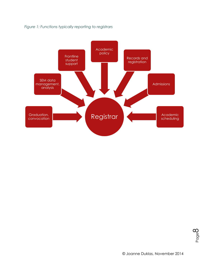<span id="page-8-0"></span>

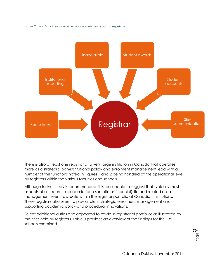<span id="page-9-0"></span>*Figure 2: Functional responsibilities that sometimes report to registrars*



There is also at least one registrar at a very large institution in Canada that operates more as a strategic, pan-institutional policy and enrolment management lead with a number of the functions noted in Figures 1 and 2 being handled at the operational level by registrars within the various faculties and schools.

Although further study is recommended, it is reasonable to suggest that typically most aspects of a student's academic (and sometimes financial) life and related data management seem to situate within the registrar portfolio at Canadian institutions. These registrars also seem to play a role in strategic enrolment management and supporting academic policy and procedural innovations.

Select additional duties also appeared to reside in registrarial portfolios as illustrated by the titles held by registrars. Table 3 provides an overview of the findings for the 139 schools examined.

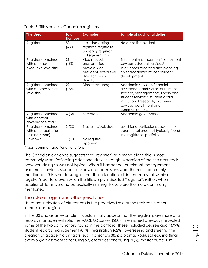<span id="page-10-1"></span>Table 3: Titles held by Canadian registrars

| <b>Title Used</b>                                            | <b>Total</b><br><b>Number</b> | <b>Examples</b>                                                                                          | <b>Sample of additional duties</b>                                                                                                                                                                                               |
|--------------------------------------------------------------|-------------------------------|----------------------------------------------------------------------------------------------------------|----------------------------------------------------------------------------------------------------------------------------------------------------------------------------------------------------------------------------------|
| Registrar                                                    | 88<br>(63%)                   | Included acting<br>registrar, registraire,<br>university registrar,<br>college registrar                 | No other title evident                                                                                                                                                                                                           |
| Registrar combined<br>with another<br>executive level title  | 21<br>(15%)                   | Vice provost,<br>assistant vice<br>provost, vice<br>president, executive<br>director, senior<br>director | Enrolment management*, enrolment<br>services*, student services*,<br>institutional reporting and planning,<br>chief academic officer, student<br>development                                                                     |
| Registrar combined<br>with another senior<br>level title     | 22<br>(16%)                   | Director/manager                                                                                         | Academic services, financial<br>assistance, admissions*, enrolment<br>services/management*, library and<br>student services*, student affairs,<br>institutional research, customer<br>service, recruitment and<br>communications |
| Registrar combined<br>with a formal<br>governance focus      | 4(3%)                         | Secretary                                                                                                | Academic governance                                                                                                                                                                                                              |
| Registrar combined<br>with other portfolios<br>(less common) | 3(2%)                         | E.g., principal, dean                                                                                    | Lead for a particular academic or<br>operational area not typically found<br>in a registrarial portfolio                                                                                                                         |
| Unknown                                                      | $1(1\%)$                      | No registrar<br>apparent                                                                                 |                                                                                                                                                                                                                                  |

\* Most common additional functions

The Canadian evidence suggests that "registrar" as a stand-alone title is most commonly used. Reflecting additional duties through expansion of the title occurred; however, doing so was not typical. When it happened, enrolment management, enrolment services, student services, and admissions were the most commonly mentioned. This is not to suggest that these functions didn't normally fall within a registrar's portfolio even when the title simply indicated "registrar"; rather, when additional items were noted explicitly in titling, these were the more commonly mentioned.

#### <span id="page-10-0"></span>The role of registrar in other jurisdictions

There are indicators of differences in the perceived role of the registrar in other international regions.

In the US and as an example, it would initially appear that the registrar plays more of a records management role. The AACRAO survey (2007) mentioned previously revealed some of the typical functions found in the portfolio. These included degree audit (79%), student records management (87%), registration (62%), overseeing and steering the creation of academic artifacts (e.g., transcripts 88%; diplomas 75%), scheduling (final exam 56%; classroom scheduling 59%; facilities scheduling 20%), master curriculum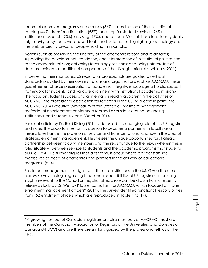record of approved programs and courses (56%), coordination of the institutional catalog (44%), transfer articulation (53%), one-stop for student services (26%), institutional research (20%), advising (17%), and so forth. Most of these functions typically rely heavily on systems, web-based tools, and automation highlighting technology and the web as priority areas for people holding this portfolio.

Notions such as preserving the integrity of the academic record and its artifacts; supporting the development, translation, and interpretation of institutional policies tied to the academic mission; delivering technology solutions; and being interpreters of data are evident as additional components of the US registrarial role (Williams, 2011).

In delivering their mandates, US registrarial professionals are guided by ethical standards provided by their own institutions and organizations such as AACRAO. These guidelines emphasize preservation of academic integrity, encourage a holistic support framework for students, and validate alignment with institutional academic mission.<sup>2</sup> The focus on student success and all it entails is readily apparent in the activities of ACCRAO, the professional association for registrars in the US. As a case in point, the ACCRAO 2014 Executive Symposium of the Strategic Enrollment Management professional development conference focused discussions around balancing institutional and student success (October 2014).

A recent article by Dr. Reid Kisling (2014) addressed the changing role of the US registrar and notes the opportunities for this position to become a partner with faculty as a means to enhance the provision of service and transformational change in the area of strategic enrolment management. He stresses the unique opportunities for strategic partnership between faculty members and the registrar due to the nexus wherein these roles situate – "between service to students and the academic programs that students pursue" (p.4). He further argues that a "shift must occur where registrar staff see themselves as peers of academics and partners in the delivery of educational programs" (p. 4).

Enrolment management is a significant thrust at institutions in the US. Given the more narrow survey findings regarding functional responsibilities of US registrars, interesting insights relevant to the Canadian registrarial lead role can be drawn from a recently released study by Dr. Wendy Kilgore, consultant for AACRAO, which focused on "chief enrollment management officers" (2014). The survey identified functional responsibilities from 152 enrolment officers which are reproduced in Table 4 (p. 19).

<sup>&</sup>lt;sup>2</sup> A growing number of Canadian registrars are also members of AACRAO; most are members of the Canadian Association of Registrars of the Universities and Colleges of Canada (ARUCC) and are therefore similarly guided by the professional ethics of the field.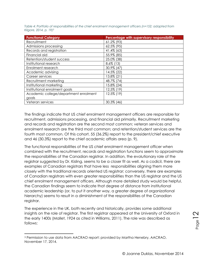<span id="page-12-0"></span>*Table 4: Portfolio of responsibilities of the chief enrolment management officers (n=152; adapted from Kilgore, 2014, p. 19) 3*

| <b>Functional Category</b>            | Percentage with supervisory responsibility |
|---------------------------------------|--------------------------------------------|
| Recruitment                           | 61.2% (93)                                 |
| Admissions processing                 | 62.5% (95)                                 |
| Records and registration              | 41.4% (63)                                 |
| Financial aid                         | 55.9% (85)                                 |
| Retention/student success             | 25.0% (38)                                 |
| Institutional research                | $8.6\%$ (13)                               |
| Enrolment research                    | 30.9% (47)                                 |
| Academic advising                     | 14.5% (22)                                 |
| Career services                       | 13.8% (21)                                 |
| Recruitment marketing                 | 48.7% (74)                                 |
| Institutional marketing               | 15.8% (24)                                 |
| Institutional enrolment goals         | 12.5% (19)                                 |
| Academic college/department enrolment | 12.5% (19)                                 |
| goals                                 |                                            |
| Veteran services                      | 30.3% (46)                                 |

The findings indicate that US chief enrolment management officers are responsible for recruitment, admissions processing, and financial aid primarily. Recruitment marketing and records and registration are the second most common; veteran services and enrolment research are the third most common; and retention/student services are the fourth most common. Of this cohort, 55 (36.2%) report to the president/chief executive and 46 (30.3%) report to the chief academic affairs area (p. 9).

The functional responsibilities of the US chief enrolment management officer when combined with the recruitment, records and registration functions seem to approximate the responsibilities of the Canadian registrar. In addition, the evolutionary role of the registrar suggested by Dr. Kisling, seems to be a closer fit as well. As a codicil, there are examples of Canadian registrars that have less responsibilities aligning them more closely with the traditional records oriented US registrar; conversely, there are examples of Canadian registrars with even greater responsibilities than the US registrar and the US chief enrolment management officers. Although more detailed study would be helpful, the Canadian findings seem to indicate that degree of distance from institutional academic leadership (or, to put it another way, a greater degree of organizational hierarchy) seems to result in a diminishment of the responsibilities of the Canadian registrar.

The experience in the UK, both recently and historically, provides some additional insights on the role of registrar. The first registrar appeared at the University of Oxford in the early 1400s (Mallet, 1924 as cited in Williams, 2011). The role was described as follows:

<sup>3</sup> Permission to use data from AACRAO report: provided by Martha Henebry, AACRAO, November 17, 2014.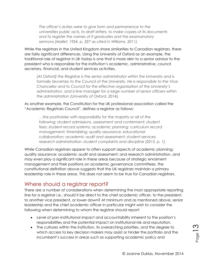*The officer's duties were to give form and permanence to the universities public acts, to draft letters, to make copies of its documents and to register the names of it graduates and the examanatory sermons (Mallet, 1924, p. 327 as cited in Williams, 2011).*

While the registrars in the United Kingdom share similarities to Canadian registrars, there are fairly significant differences. Using the University of Oxford as an example, the traditional role of registrar in UK today is one that is more akin to a senior advisor to the president who is responsible for the institution's academic, administrative, council secretary, financial, and student services activities.

[At Oxford] the Registrar is the senior administrator within the University and is *formally Secretary to the Council of the University. He is responsible to the Vice-Chancellor and to Council for the effective organisation of the University's administration, and is line manager for a large number of senior officers within the administration (University of Oxford, 2014*).

As another example, the Constitution for the UK professional association called the "Academic Registrars Council", defines a registrar as follows:

*…the postholder with responsibility for the majority or all of the following: student admissions, assessment and conferment; student fees; student record systems; academic planning; curriculum record management; timetabling; quality assurance; educational collaboration; academic audit and assessment; student services; research administration; student complaints and discipline (2013, p. 1).*

While Canadian registrars appear to often support aspects of academic planning; quality assurance; academic audit and assessment; and research administration, and may even play a significant role in these areas because of strategic enrolment management and their positions on academic governance committees, the constitutional definition above suggests that the UK registrars maintain a primary leadership role in these areas. This does not seem to be true for Canadian registrars.

## <span id="page-13-0"></span>Where should a registrar report?

There are a number of considerations when determining the most appropriate reporting line for a registrar i.e., should it be direct to the chief academic officer, to the president, to another vice president, or lower down? At minimum and as mentioned above, senior leadership and the chief academic officer in particular might wish to consider the following when determining to whom the registrar should report:

- Level of pan-institutional impact and accountability inherent to the position's responsibilities and the potential impact on institutional risk and reputation.
- The cultures within the institution, its overarching priorities, and the degree to which access to key decision makers may assist or hinder the portfolio and the incumbent's success in areas such as supporting academic policy and

 $P_{\text{age}}13$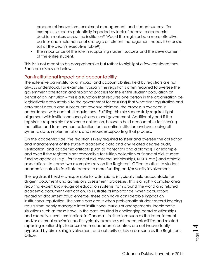procedural innovations, enrolment management, and student success (for example, is success potentially impeded by lack of access to academic decision makers across the institution? Would the registrar be a more effective partner and implementer of strategic enrolment management needs if he or she sat at the dean's executive table?).

 The importance of the role in supporting student success and the development of the entire student.

This list is not meant to be comprehensive but rather to highlight a few considerations. Each are discussed below.

#### <span id="page-14-0"></span>Pan-institutional impact and accountability

The extensive pan-institutional impact and accountabilities held by registrars are not always understood. For example, typically the registrar is often required to oversee the government attestation and reporting process for the entire student population on behalf of an institution – this is a function that requires one person in the organization be legislatively accountable to the government for ensuring that whatever registration and enrolment occurs and subsequent revenue claimed, the process is overseen in accordance with auditable regulations. Fulfilling this role successfully requires tight alignment with institutional analysis areas and government. Additionally and if the registrar is responsible for revenue collection, he/she is held accountable for steering the tuition and fees revenue collection for the entire institution and overseeing all systems, data, implementation, and resources supporting that process.

On the academic side, the registrar is likely required to steer and oversee the collection and management of the student academic data and any related degree audit, verification, and academic artifacts (such as transcripts and diplomas). For example and even if the registrar is not responsible for tuition collection or financial aid, student funding agencies (e.g., for financial aid, external scholarships, RESPs, etc.) and athletic associations (to name two examples) rely on the Registrar's Office to attest to student academic status to facilitate access to more funding and/or varsity involvement.

The registrar, if he/she is responsible for admissions, is typically held accountable for diligent document and admissions assessment processes. This is a highly complex area requiring expert knowledge of education systems from around the world and related academic document verification. To illustrate its importance, when accusations regarding document fraud emerge, these can have considerable impact on institutional reputation. The same can occur when problematic student record keeping results from poorly managed inter-institutional curricular arrangements. Problematic situations such as these have, in the past, resulted in challenging board relationships and executive level terminations in Canada – in situations such as the latter, internal and/or external provincial audits typically examine such accountabilities and related reporting relationships to ensure normal academic controls are not inadvertently bypassed by diminishing involvement and authority of key areas such as the Registrar's Office.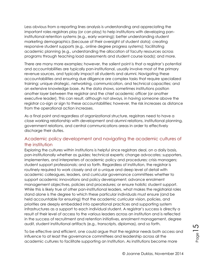Less obvious from a reporting lines analysis is understanding and appreciating the important roles registrars play (or can play) to help institutions with developing paninstitutional retention systems (e.g., early warning); better understanding student marketing demographics (because of their oversight of student data); creating responsive student supports (e.g., online degree progress systems); facilitating academic planning (e.g., understanding the allocation of faculty resources across programs through teaching load assessments and student course loads); and more.

There are many more examples; however, the salient point is that a registrar's potential and accountabilities are typically pan-institutional, usually involve most of the primary revenue sources, and typically impact all students and alumni. Navigating these accountabilities and ensuring due diligence are complex tasks that require specialized training; unique strategic, networking, communication, and technical capacities; and an extensive knowledge base. As the data shows, sometimes institutions position another layer between the registrar and the chief academic officer (or another executive leader). This can result, although not always, in having someone above the registrar co-sign or sign to these accountabilities; however, the risk increases as distance from the operational action increases.

As a final point and regardless of organizational structure, registrars need to have a close working relationship with development and alumni relations, institutional planning, government relations, and central communications areas in order to effectively discharge their duties.

#### <span id="page-15-0"></span>Academic policy development and navigating the academic cultures of the institution

Exploring the cultures within institutions is helpful since registrars deal, on a daily basis, pan-institutionally whether as guides; technical experts; change advocates; supporters, implementers, and interpreters of academic policy and procedures; crisis managers; student support professionals; and so forth. Regardless of institution, the registrar is routinely required to work closely and at a unique and deep level of detail with academic colleagues, leaders, and curricular governance committees whether to support academic innovations and policy development; advance enrolment management objectives, policies and procedures; or ensure holistic student support. While this is likely true of other pan-institutional leaders, what makes the registrarial roles stand alone is the degree to which these particular individuals must ensure (and be held accountable for ensuring) that the academic curricular vision, policies, and priorities are deeply embedded into operational practices and supporting system infrastructures as a support to each individual student. A registrar's success is directly a result of their level of access to the various leaders across an institution and is reflected in the success of recruitment and retention initiatives, enrolment management, degree audit, student institutional artifacts (e.g., transcripts, diplomas), and so forth.

To be effective and efficient, one could argue that the registrar needs both access and influence to at least the governance committees and leadership across all the academic cultures to facilitate supporting an Institution. As institutions become more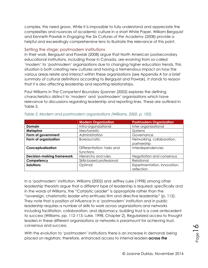complex, this need grows. While it is impossible to fully understand and appreciate the complexities and nuances of academic culture in a short White Paper, William Bergquist and Kenneth Pawlak in *Engaging the Six Cultures of the Academy* (2008) provide a helpful and exceedingly comprehensive lens to illustrate the relevance of this point.

#### <span id="page-16-0"></span>Setting the stage: postmodern institutions

In their work, Bergquist and Pawlak (2008) argue that North American postsecondary educational institutions, including those in Canada, are evolving from so-called 'modern' to 'postmodern' organizations due to changing higher education trends. This situation is both creating new cultures and having a tremendous impact on how the various areas relate and interact within these organizations (see Appendix A for a brief summary of cultural definitions according to Bergquist and Pawlak). It stands to reason that it is also affecting leadership and reporting relationships.

Paul Williams in *The Competent Boundary Spanner* (2002) explores the defining characteristics distinct to 'modern' and 'postmodern' organizations which have relevance to discussions regarding leadership and reporting lines. These are outlined in Table 5.

|                                  | <b>Modern Organization</b>              | <b>Postmodern Organization</b>             |
|----------------------------------|-----------------------------------------|--------------------------------------------|
| <b>Domain</b>                    | Intra-organizational                    | Inter-organizational                       |
| Metaphor                         | Mechanistic                             | Systems                                    |
| Form of government               | Administration                          | Governance                                 |
| Form of organization             | <b>Bureaucratic</b>                     | Networking, collaboration,<br>partnership  |
| Conceptualization                | Differentiation; tasks and<br>functions | Interdependencies                          |
| <b>Decision-making framework</b> | Hierarchy and rules                     | Negotiation and consensus                  |
| Competency                       | Skills-based professional               | Relational                                 |
| <b>Solutions</b>                 | Optimal                                 | Experimentation, innovation,<br>reflection |

<span id="page-16-1"></span>

| Table 5: Modern and postmodern organizations (Williams, 2002, p. 105) |  |  |  |  |
|-----------------------------------------------------------------------|--|--|--|--|
|                                                                       |  |  |  |  |

In a 'postmodern' institution, Williams (2002) and Jeffrey Luke (1998) among other leadership theorists argue that a different type of leadership is required; specifically and in the words of Williams, the "Catalytic Leader" is appropriate rather than the "sovereign, charismatic leader who enthuses firm and directive leadership" (p. 112). They note that a position of influence in a 'postmodern' institution and in public leadership requires a number of skills to work across organizations and networks including facilitation, collaboration, and diplomacy; building trust is a core antecedent to success (Williams, pp. 112-113; Luke, 1998, Chapter 2). Regularized access to thought leaders in these different organizations or networks is paramount for achieving trust, consensus and success.

With the evolution to 'postmodern' institutions there is an increase in demands being placed on registrars; therefore, enhanced access to internal leaders *across the*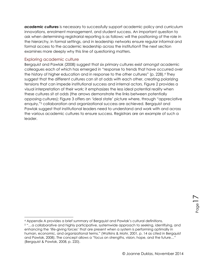*academic cultures* is necessary to successfully support academic policy and curriculum innovations, enrolment management, and student success. An important question to ask when determining registrarial reporting is as follows: will the positioning of the role in the hierarchy, in formal settings, and in leadership networks ensure regular informal and formal access to the academic leadership across the institution? The next section examines more deeply why this line of questioning matters.

#### <span id="page-17-0"></span>Exploring academic culture

 $\overline{a}$ 

Bergquist and Pawlak (2008) suggest that six primary cultures exist amongst academic colleagues each of which has emerged in "response to trends that have occurred over the history of higher education and in response to the other cultures" (p. 228).<sup>4</sup> They suggest that the different cultures can sit at odds with each other, creating polarizing tensions that can impede institutional success and internal actors. Figure 2 provides a visual interpretation of their work; it emphasizes the less ideal potential reality when these cultures sit at odds (the arrows demonstrate the links between potentially opposing cultures); Figure 3 offers an 'ideal state' picture where, through "appreciative enquiry," <sup>5</sup> collaboration and organizational success are achieved. Bergquist and Pawlak suggest that institutional leaders need to understand and work with and across the various academic cultures to ensure success. Registrars are an example of such a leader.

<sup>4</sup> Appendix A provides a brief summary of Bergquist and Pawlak's cultural definitions.

<sup>5</sup> "…a collaborative and highly participative, systemwide approach to seeking, identifying, and enhancing the 'life-giving forces' that are present when a system is performing optimally in human, economic, and organizational terms." (Watkins & Mohr, 2001, p. 14 as cited in Bergquist and Pawlak, 2008). The concept allows a "focus on strengths, vision, hope, and the future…" (Bergquist & Pawlak, 2008, p. 220).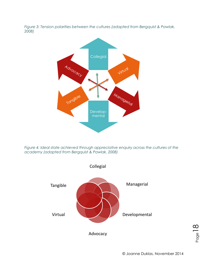<span id="page-18-0"></span>*Figure 3: Tension polarities between the cultures (adapted from Bergquist & Pawlak, 2008)*



<span id="page-18-1"></span>*Figure 4: Ideal state achieved through appreciative enquiry across the cultures of the academy (adapted from Bergquist & Pawlak, 2008)*

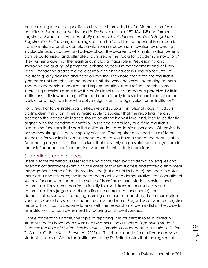An interesting further perspective on this issue is provided by Dr. Diamond, professor emeritus at Syracuse University, and P. DeBlois, director of EDUCAUSE and former registrar of Syracuse in *Accountability and Academic Innovation: Don't Forget the Registrar* (2007). They argue the registrar can be "a critical component in academic transformation…[and]… can play a vital role in academic innovation by providing invaluable policy counsel and advice about the degree to which information systems can be customized, and, ultimately, can grease the tracks for academic innovation." They further argue that the registrar can play a major role in "redesigning and improving the quality" of programs, enhancing "course management and delivery… [and]...translating academic policies into efficient and easily used procedures" to facilitate quality advising and decision-making. They note that often the registrar is ignored or not brought into the process until the very end which, according to them, impedes academic innovation and implementation. These reflections raise some interesting questions about how this professional role is situated and perceived within institutions. Is it viewed as a glorified and operationally focused records management clerk or as a major partner who delivers significant strategic value for an institution?

For a registrar to be strategically effective and support institutional goals in today's postmodern institution, it seems reasonable to suggest that the reporting line and access to the academic leaders should be at the highest level and, ideally, be tightly aligned with the academic portfolio. This seems particularly true if the registrar is overseeing functions that span the entire student academic experience. Otherwise, he or she may struggle in delivering key priorities. One registrar described this as "to be successful for your institution, you need to ensure you have a seat at the dean's table". Depending on your institution's culture, that may only be possible the closer you are to the chief academic officer, another vice president, or to the president.

#### <span id="page-19-0"></span>Supporting student success

There is some tremendous research being conducted by academic colleagues and research organizations examining the areas of student success and strategic enrolment management. Some of the themes include (but are not limited to) the need to obtain more data and research; the importance of achieving demonstrative, transformational success for and with students; the value of transformational, student-services and communications rather than institutionally-focused, transactional services and communications (regardless of reporting line or organizational home); the demonstrated success of creating learning communities and shared communication venues to spread a vision for student success; and more. Regardless of where a registrar reports, it is critical to become familiar with the research and be mindful of the value to an institution that can be realized by focusing on student success.

Of relevance to this article, the topic of reporting lines for certain roles involved in student success have been examined by others. The authors of *Supporting Student Success: The Role of Student Services within Ontario's Postsecondary Institutions* (Seifert, T., Arnold, C., Burrow, J., Brown, A., 2011), a first phase report of a multi-year analysis of student success at Canadian institutions led by Dr. Seifert, notes that the registrarial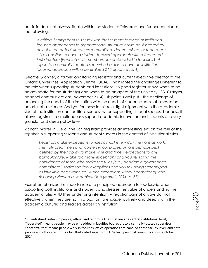portfolio does not always situate within the student affairs area and further concludes the following:

*A critical finding from this study was that student-focused or institutionfocused approaches to organizational structure could be illustrated by any of three actual structures (centralized, decentralized, or federated).<sup>6</sup> It is as possible to have a student-focused approach with a federated SAS structure [in which staff members are embedded in faculties but report to a centrally-located supervisor] as it is to have an institutionfocused approach with a centralized SAS structure (p. 4).*

George Granger, a former longstanding registrar and current executive director of the Ontario Universities' Application Centre (OUAC), highlighted the challenges inherent to the role when supporting students and institutions: "A good registrar knows when to be an advocate for the student(s) and when to be an agent of the university" (G. Granger, personal communications, November 2014). His point is well put – the challenge of balancing the needs of the institution with the needs of students seems at times to be an art, not a science. And yet for those in this role, tight alignment with the academic side of the institution can facilitate success when supporting student success because it allows registrars to simultaneously support academic innovation and students at a very granular and deep policy level.

Richard Morrell in "Be a Pine Tar Registrar" provides an interesting lens on the role of the registrar in supporting students and student success in the context of institutional rules.

*Registrars make exceptions to rules almost every day they are at work. The truly great men and women in our profession are perhaps best defined by their ability to make wise and timely exceptions to any particular rule. Make too many exceptions and you risk losing the confidence of those who make the rules [e.g., academic governance committees]. Make too few exceptions and you risk being stereotyped as inflexible and tyrannical. Make exceptions without consistency and risk being viewed as Machiavellian (Morrell, 2014, p. 57).*

Morrell emphasizes the importance of a principled approach to leadership when supporting both institutions and students and stresses the value of understanding the academic rules AND their underlying intention. A registrar cannot always do that effectively when they are not in a position to engage routinely and deeply with the academic cultures and leaders across an institution.

<sup>6</sup> "Centralized" refers to people, offices and reporting lines that are at a central institutional level; "federated" means people may be embedded in faculties but report to a centrally-located supervisor; "decentralized" means people work in faculties, office operations are handled at the faculty level, and both people and offices report to a faculty-located supervisor (T. Seifert, personal communications, October 2014).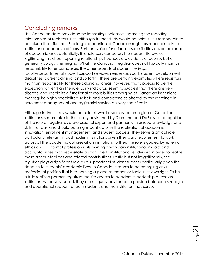## <span id="page-21-0"></span>Concluding remarks

The Canadian data provide some interesting indicators regarding the reporting relationships of registrars. First, although further study would be helpful, it is reasonable to conclude that, like the US, a larger proportion of Canadian registrars report directly to institutional academic officers. Further, typical functional responsibilities cover the range of academic and, potentially, financial services across the student life cycle, legitimizing this direct reporting relationship. Nuances are evident, of course, but a general typology is emerging. What the Canadian registrar does not typically maintain responsibility for encompasses the other aspects of student life (e.g., faculty/departmental student support services, residence, sport, student development, disabilities, career advising, and so forth). There are certainly examples where registrars maintain responsibility for these additional areas; however, that appears to be the exception rather than the rule. Early indicators seem to suggest that there are very discrete and specialized functional responsibilities emerging at Canadian institutions that require highly specialized skillsets and competencies offered by those trained in enrolment management and registrarial service delivery specifically.

Although further study would be helpful, what also may be emerging at Canadian institutions is more akin to the reality envisioned by Diamond and DeBlois - a recognition of the role of registrar as a professional expert and partner with unique knowledge and skills that can and should be a significant actor in the realization of academic innovation, enrolment management, and student success. They serve a critical role particularly relevant in postmodern institutions given their daily requirement to work across all the academic cultures at an institution. Further, the role is guided by external ethics and is a formal profession in its own right with pan-institutional impact and accountabilities that necessitate a strong tie to institutional leadership in order to realize these accountabilities and related contributions. Lastly but not insignificantly, the registrar plays a significant role as a supporter of student success particularly given the deep tie to students' academic lives. In Canada, it seems to be emerging as a professional position that is re-earning a place at the senior table in its own right. To be a fully realized partner, registrars require access to academic leadership across an institution; when so situated, they are uniquely positioned to provide balanced strategic and operational support for both students and the institution they serve.

**Page2**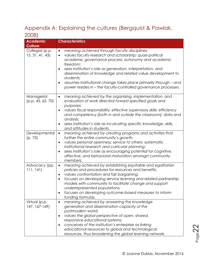# <span id="page-22-0"></span>Appendix A: Explaining the cultures (Bergquist & Pawlak, 2008)

| <b>Academic</b>                    | <b>Characteristics</b>                                                                                                                                                                                                                                                                                                                                                                                                                                                                                           |
|------------------------------------|------------------------------------------------------------------------------------------------------------------------------------------------------------------------------------------------------------------------------------------------------------------------------------------------------------------------------------------------------------------------------------------------------------------------------------------------------------------------------------------------------------------|
| <b>Culture</b>                     |                                                                                                                                                                                                                                                                                                                                                                                                                                                                                                                  |
| Collegial (p.p.<br>15, 31, 41, 43) | meaning achieved through faculty disciplines;<br>$\bullet$<br>values faculty research and scholarship; quasi-political<br>$\bullet$<br>academic governance process; autonomy and academic<br>freedom;<br>sees institution's role as generation, interpretation, and<br>$\bullet$<br>dissemination of knowledge and related value development to<br>students;<br>assumes institutional change takes place primarily through - and<br>$\bullet$<br>power resides in - the faculty-controlled governance processes. |
| Managerial<br>(p.p. 43, 62, 70)    | meaning achieved by the organizing, implementation, and<br>$\bullet$<br>evaluation of work directed toward specified goals and<br>purposes;<br>values fiscal responsibility; effective supervisory skills; efficiency<br>$\bullet$<br>and competency [both in and outside the classroom]; data and<br>analysis;<br>sees institution's role as inculcating specific knowledge, skills,<br>$\bullet$<br>and attitudes in students.                                                                                 |
| Developmental<br>(p. 73)           | meaning achieved by creating programs and activities that<br>$\bullet$<br>further the entire community's growth;<br>values personal openness; service to others; systematic<br>$\bullet$<br>institutional research and curricular planning;<br>sees institution's role as encouraging potential for cognitive,<br>$\bullet$<br>affective, and behavioral maturation amongst community<br>members.                                                                                                                |
| Advocacy (pp.<br>111, 141)         | meaning achieved by establishing equitable and egalitarian<br>$\bullet$<br>policies and procedures for resources and benefits;<br>values confrontation and fair bargaining;<br>$\bullet$<br>focuses on developing service learning and related partnership<br>$\bullet$<br>models with community to facilitate change and support<br>underrepresented populations;<br>focuses on developing outcome-based measures to inform<br>$\bullet$<br>funding formulas.                                                   |
| Virtual (p.p.<br>147, 167-169)     | meaning achieved by answering the knowledge<br>$\bullet$<br>generation and dissemination capacity of the<br>postmodern world;<br>values the global perspective of open, shared,<br>responsive educational systems;<br>conceives of the institution's enterprise as linking<br>educational resources to global and technological<br>resources, thus broadening the global learning network.                                                                                                                       |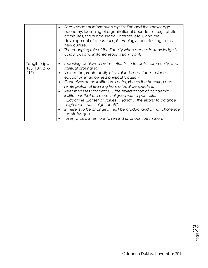|                                         | Sees impact of information digitization and the knowledge<br>$\bullet$<br>economy, loosening of organizational boundaries (e.g., offsite<br>campuses, the "unbounded" Internet, etc.), and the<br>development of a "virtual epistemology" contributing to this<br>new culture.<br>The changing role of the Faculty when access to knowledge is<br>$\bullet$<br>ubiquitous and instantaneous is significant.                                                                                                                                                                                                                                                                                                                                      |
|-----------------------------------------|--------------------------------------------------------------------------------------------------------------------------------------------------------------------------------------------------------------------------------------------------------------------------------------------------------------------------------------------------------------------------------------------------------------------------------------------------------------------------------------------------------------------------------------------------------------------------------------------------------------------------------------------------------------------------------------------------------------------------------------------------|
| Tangible (pp.<br>185, 187, 216-<br>217) | meaning achieved by institution's tie to roots, community, and<br>$\bullet$<br>spiritual grounding;<br>Values the predictability of a value-based, face-to-face<br>$\bullet$<br>education in an owned physical location;<br>Conceives of the institution's enterprise as the honoring and<br>٠<br>reintegration of learning from a local perspective.<br>Reemphasizes standards, the revitalization of academic<br>$\bullet$<br>institutions that are closely aligned with a particular<br>doctrineor set of values, [and] the efforts to balance<br>"high tech" with "high touch"<br>If there is to be change it must be gradual and  not challenge<br>$\bullet$<br>the status quo.<br>[Uses] past intentions to remind us of our true mission. |

Page23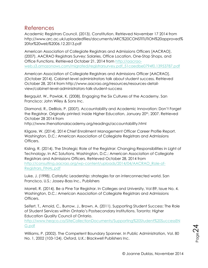## <span id="page-24-0"></span>References

Academic Registrars Council. (2013). Constitution. Retrieved November 17 2014 from http://www.arc.ac.uk/uploadedfiles/documents/ARC%20CONSTITUTION%20approved% 20for%20web%2006.12.2013.pdf

American Association of Collegiate Registrars and Admissions Officers [AACRAO]. (2007). AACRAO Registrars Survey: Salaries, Office Location, One-Stop Shops, and Office Functions. Retrieved October 21, 2014 from [http://aacrao](http://aacrao-web.s3.amazonaws.com/migrated/registrarsurvey.pdf_51caedbe0794f0.13953787.pdf)[web.s3.amazonaws.com/migrated/registrarsurvey.pdf\\_51caedbe0794f0.13953787.pdf](http://aacrao-web.s3.amazonaws.com/migrated/registrarsurvey.pdf_51caedbe0794f0.13953787.pdf)

American Association of Collegiate Registrars and Admissions Officer [AACRAO]. (October 2014). Cabinet-level administrators talk about student success. Retrieved October 28, 2014 from http://www.aacrao.org/resources/resources-detailview/cabinet-level-administrators-talk-student-success

Bergquist, W., Pawlak, K. (2008). Engaging the Six Cultures of the Academy. San Francisco: John Wiley & Sons Inc.

Diamond, R., DeBlois, P. (2007). Accountability and Academic Innovation: Don't Forget the Registrar. Originally printed: Inside Higher Education, January 20th, 2007. Retrieved October 28 2014 from

http://www.thenationalacademy.org/readings/accountability.html

Kilgore, W. (2014). 2014 Chief Enrollment Management Officer Career Profile Report. Washington, D.C.: American Association of Collegiate Registrars and Admissions Officers.

Kisling, R. (2014). The Strategic Role of the Registrar: Changing Responsibilities in Light of Technology. In AC Solutions. Washington, D.C.: American Association of Collegiate Registrars and Admissions Officers. Retrieved October 28, 2014 from [http://consulting.aacrao.org/wp-content/uploads/2014/04/AACRAO\\_Role-of-](http://consulting.aacrao.org/wp-content/uploads/2014/04/AACRAO_Role-of-Registrars_FINAL.pdf)[Registrars\\_FINAL.pdf](http://consulting.aacrao.org/wp-content/uploads/2014/04/AACRAO_Role-of-Registrars_FINAL.pdf)

Luke, J. (1998). Catalytic Leadership: strategies for an interconnected world. San Francisco, U.S.: Jossey-Bass Inc., Publishers

Morrell, R. (2014). Be a Pine Tar Registrar. In Colleges and University, Vol 89, Issue No. 4. Washington, D.C.: American Association of Collegiate Registrars and Admissions Officers.

Seifert, T., Arnold, C., Burrow, J., Brown, A. (2011). Supporting Student Success: The Role of Student Services within Ontario's Postsecondary Institutions. Toronto: Higher Education Quality Council of Ontario.

[http://www.heqco.ca/SiteCollectionDocuments/Supporting%20Student%20SuccessEN](http://www.heqco.ca/SiteCollectionDocuments/Supporting%20Student%20SuccessENG.pdf) [G.pdf](http://www.heqco.ca/SiteCollectionDocuments/Supporting%20Student%20SuccessENG.pdf)

Williams, P. (2002). The Competent Boundary Spanner. In Public Administration, Vol. 80 No. 1, 2002 (103-124). Oxford, U.K.: Blackwell Publishers Inc.

 $P^{\rm{op}}$